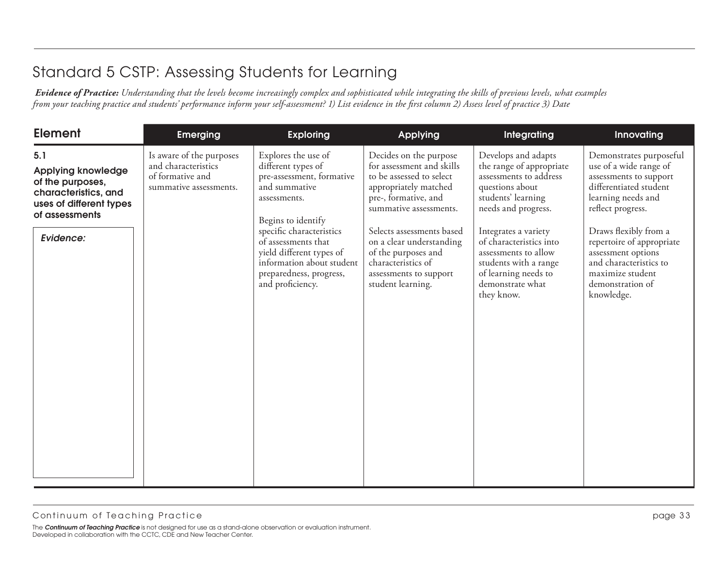| <b>Element</b>                                                                                                                         | <b>Emerging</b>                                                                               | <b>Exploring</b>                                                                                                                                                                                                                                                                         | <b>Applying</b>                                                                                                                                                                                                                                                                                                 | Integrating                                                                                                                                                                                                                                                                                             | Innovating                                                                                                                                                                                                                                                                                                   |
|----------------------------------------------------------------------------------------------------------------------------------------|-----------------------------------------------------------------------------------------------|------------------------------------------------------------------------------------------------------------------------------------------------------------------------------------------------------------------------------------------------------------------------------------------|-----------------------------------------------------------------------------------------------------------------------------------------------------------------------------------------------------------------------------------------------------------------------------------------------------------------|---------------------------------------------------------------------------------------------------------------------------------------------------------------------------------------------------------------------------------------------------------------------------------------------------------|--------------------------------------------------------------------------------------------------------------------------------------------------------------------------------------------------------------------------------------------------------------------------------------------------------------|
| 5.1<br><b>Applying knowledge</b><br>of the purposes,<br>characteristics, and<br>uses of different types<br>of assessments<br>Evidence: | Is aware of the purposes<br>and characteristics<br>of formative and<br>summative assessments. | Explores the use of<br>different types of<br>pre-assessment, formative<br>and summative<br>assessments.<br>Begins to identify<br>specific characteristics<br>of assessments that<br>yield different types of<br>information about student<br>preparedness, progress,<br>and proficiency. | Decides on the purpose<br>for assessment and skills<br>to be assessed to select<br>appropriately matched<br>pre-, formative, and<br>summative assessments.<br>Selects assessments based<br>on a clear understanding<br>of the purposes and<br>characteristics of<br>assessments to support<br>student learning. | Develops and adapts<br>the range of appropriate<br>assessments to address<br>questions about<br>students' learning<br>needs and progress.<br>Integrates a variety<br>of characteristics into<br>assessments to allow<br>students with a range<br>of learning needs to<br>demonstrate what<br>they know. | Demonstrates purposeful<br>use of a wide range of<br>assessments to support<br>differentiated student<br>learning needs and<br>reflect progress.<br>Draws flexibly from a<br>repertoire of appropriate<br>assessment options<br>and characteristics to<br>maximize student<br>demonstration of<br>knowledge. |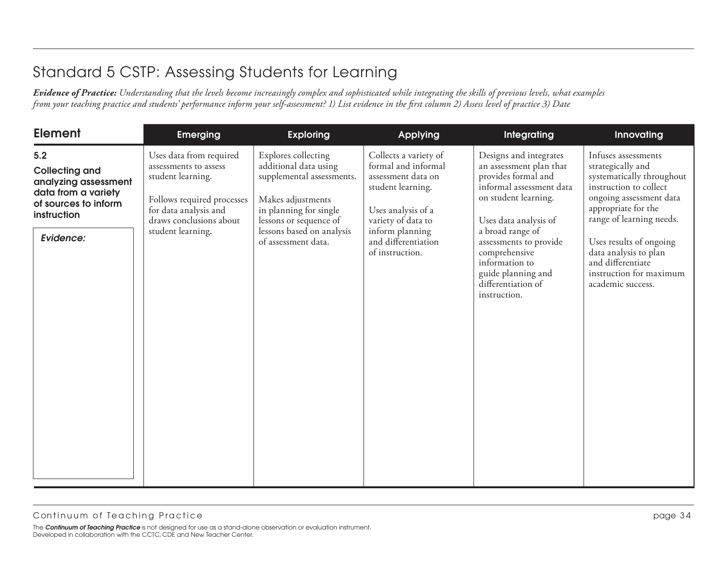| <b>Element</b>                                                                                                                  | <b>Emerging</b>                                                                                                                                                              | <b>Exploring</b>                                                                                                                                                                                       | Applying                                                                                                                                                                                         | Integrating                                                                                                                                                                                                                                                                                        | Innovating                                                                                                                                                                                                                                                                                             |
|---------------------------------------------------------------------------------------------------------------------------------|------------------------------------------------------------------------------------------------------------------------------------------------------------------------------|--------------------------------------------------------------------------------------------------------------------------------------------------------------------------------------------------------|--------------------------------------------------------------------------------------------------------------------------------------------------------------------------------------------------|----------------------------------------------------------------------------------------------------------------------------------------------------------------------------------------------------------------------------------------------------------------------------------------------------|--------------------------------------------------------------------------------------------------------------------------------------------------------------------------------------------------------------------------------------------------------------------------------------------------------|
| 5.2<br><b>Collecting and</b><br>analyzing assessment<br>data from a variety<br>of sources to inform<br>instruction<br>Evidence: | Uses data from required<br>assessments to assess<br>student learning.<br>Follows required processes<br>for data analysis and<br>draws conclusions about<br>student learning. | Explores collecting<br>additional data using<br>supplemental assessments.<br>Makes adjustments<br>in planning for single<br>lessons or sequence of<br>lessons based on analysis<br>of assessment data. | Collects a variety of<br>formal and informal<br>assessment data on<br>student learning.<br>Uses analysis of a<br>variety of data to<br>inform planning<br>and differentiation<br>of instruction. | Designs and integrates<br>an assessment plan that<br>provides formal and<br>informal assessment data<br>on student learning.<br>Uses data analysis of<br>a broad range of<br>assessments to provide<br>comprehensive<br>information to<br>guide planning and<br>differentiation of<br>instruction. | Infuses assessments<br>strategically and<br>systematically throughout<br>instruction to collect<br>ongoing assessment data<br>appropriate for the<br>range of learning needs.<br>Uses results of ongoing<br>data analysis to plan<br>and differentiate<br>instruction for maximum<br>academic success. |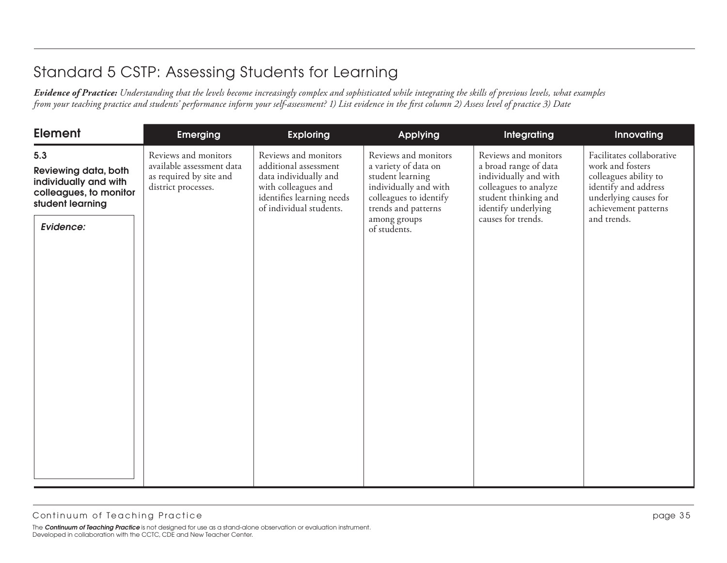| <b>Element</b>                                                                                                  | <b>Emerging</b>                                                                                     | <b>Exploring</b>                                                                                                                                      | Applying                                                                                                                                                                   | Integrating                                                                                                                                                          | Innovating                                                                                                                                                     |
|-----------------------------------------------------------------------------------------------------------------|-----------------------------------------------------------------------------------------------------|-------------------------------------------------------------------------------------------------------------------------------------------------------|----------------------------------------------------------------------------------------------------------------------------------------------------------------------------|----------------------------------------------------------------------------------------------------------------------------------------------------------------------|----------------------------------------------------------------------------------------------------------------------------------------------------------------|
| 5.3<br>Reviewing data, both<br>individually and with<br>colleagues, to monitor<br>student learning<br>Evidence: | Reviews and monitors<br>available assessment data<br>as required by site and<br>district processes. | Reviews and monitors<br>additional assessment<br>data individually and<br>with colleagues and<br>identifies learning needs<br>of individual students. | Reviews and monitors<br>a variety of data on<br>student learning<br>individually and with<br>colleagues to identify<br>trends and patterns<br>among groups<br>of students. | Reviews and monitors<br>a broad range of data<br>individually and with<br>colleagues to analyze<br>student thinking and<br>identify underlying<br>causes for trends. | Facilitates collaborative<br>work and fosters<br>colleagues ability to<br>identify and address<br>underlying causes for<br>achievement patterns<br>and trends. |
|                                                                                                                 |                                                                                                     |                                                                                                                                                       |                                                                                                                                                                            |                                                                                                                                                                      |                                                                                                                                                                |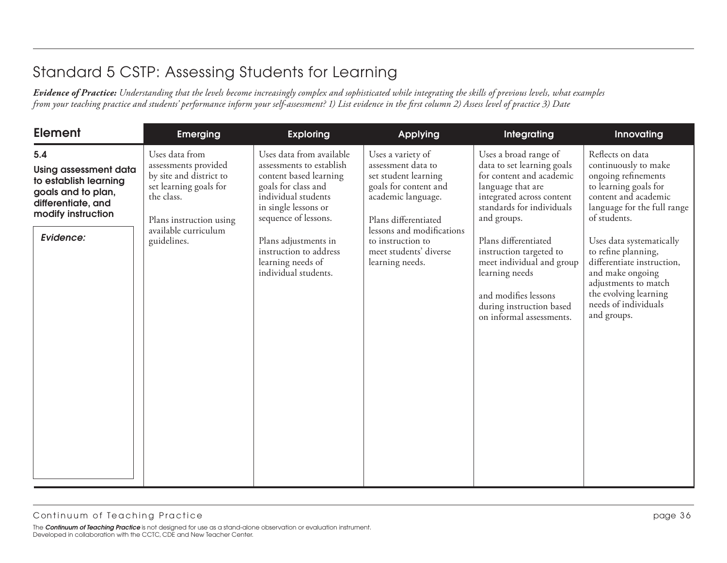| <b>Element</b>                                                                                                                              | <b>Emerging</b>                                                                                                                                                             | <b>Exploring</b>                                                                                                                                                                                                                                                            | <b>Applying</b>                                                                                                                                                                                                                       | <b>Integrating</b>                                                                                                                                                                                                                                                                                                                                              | Innovating                                                                                                                                                                                                                                                                                                                                                   |
|---------------------------------------------------------------------------------------------------------------------------------------------|-----------------------------------------------------------------------------------------------------------------------------------------------------------------------------|-----------------------------------------------------------------------------------------------------------------------------------------------------------------------------------------------------------------------------------------------------------------------------|---------------------------------------------------------------------------------------------------------------------------------------------------------------------------------------------------------------------------------------|-----------------------------------------------------------------------------------------------------------------------------------------------------------------------------------------------------------------------------------------------------------------------------------------------------------------------------------------------------------------|--------------------------------------------------------------------------------------------------------------------------------------------------------------------------------------------------------------------------------------------------------------------------------------------------------------------------------------------------------------|
| 5.4<br><b>Using assessment data</b><br>to establish learning<br>goals and to plan,<br>differentiate, and<br>modify instruction<br>Evidence: | Uses data from<br>assessments provided<br>by site and district to<br>set learning goals for<br>the class.<br>Plans instruction using<br>available curriculum<br>guidelines. | Uses data from available<br>assessments to establish<br>content based learning<br>goals for class and<br>individual students<br>in single lessons or<br>sequence of lessons.<br>Plans adjustments in<br>instruction to address<br>learning needs of<br>individual students. | Uses a variety of<br>assessment data to<br>set student learning<br>goals for content and<br>academic language.<br>Plans differentiated<br>lessons and modifications<br>to instruction to<br>meet students' diverse<br>learning needs. | Uses a broad range of<br>data to set learning goals<br>for content and academic<br>language that are<br>integrated across content<br>standards for individuals<br>and groups.<br>Plans differentiated<br>instruction targeted to<br>meet individual and group<br>learning needs<br>and modifies lessons<br>during instruction based<br>on informal assessments. | Reflects on data<br>continuously to make<br>ongoing refinements<br>to learning goals for<br>content and academic<br>language for the full range<br>of students.<br>Uses data systematically<br>to refine planning,<br>differentiate instruction,<br>and make ongoing<br>adjustments to match<br>the evolving learning<br>needs of individuals<br>and groups. |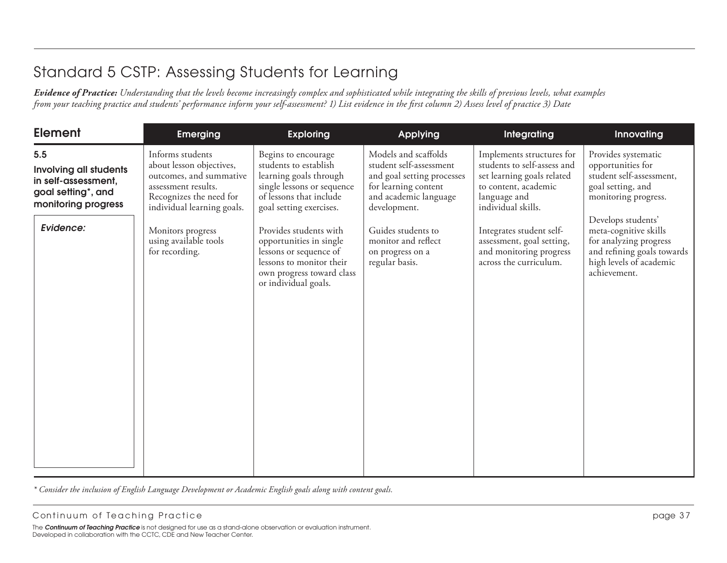*Evidence of Practice: Understanding that the levels become increasingly complex and sophisticated while integrating the skills of previous levels, what examples from your teaching practice and students' performance inform your self-assessment? 1) List evidence in the first column 2) Assess level of practice 3) Date*

| <b>Element</b>                                                                                           | <b>Emerging</b>                                                                                                                                         | <b>Exploring</b>                                                                                                                                             | Applying                                                                                                                                       | Integrating                                                                                                                                          | Innovating                                                                                                                                     |
|----------------------------------------------------------------------------------------------------------|---------------------------------------------------------------------------------------------------------------------------------------------------------|--------------------------------------------------------------------------------------------------------------------------------------------------------------|------------------------------------------------------------------------------------------------------------------------------------------------|------------------------------------------------------------------------------------------------------------------------------------------------------|------------------------------------------------------------------------------------------------------------------------------------------------|
| 5.5<br><b>Involving all students</b><br>in self-assessment,<br>goal setting*, and<br>monitoring progress | Informs students<br>about lesson objectives,<br>outcomes, and summative<br>assessment results.<br>Recognizes the need for<br>individual learning goals. | Begins to encourage<br>students to establish<br>learning goals through<br>single lessons or sequence<br>of lessons that include<br>goal setting exercises.   | Models and scaffolds<br>student self-assessment<br>and goal setting processes<br>for learning content<br>and academic language<br>development. | Implements structures for<br>students to self-assess and<br>set learning goals related<br>to content, academic<br>language and<br>individual skills. | Provides systematic<br>opportunities for<br>student self-assessment,<br>goal setting, and<br>monitoring progress.                              |
| Evidence:                                                                                                | Monitors progress<br>using available tools<br>for recording.                                                                                            | Provides students with<br>opportunities in single<br>lessons or sequence of<br>lessons to monitor their<br>own progress toward class<br>or individual goals. | Guides students to<br>monitor and reflect<br>on progress on a<br>regular basis.                                                                | Integrates student self-<br>assessment, goal setting,<br>and monitoring progress<br>across the curriculum.                                           | Develops students'<br>meta-cognitive skills<br>for analyzing progress<br>and refining goals towards<br>high levels of academic<br>achievement. |

*\* Consider the inclusion of English Language Development or Academic English goals along with content goals.*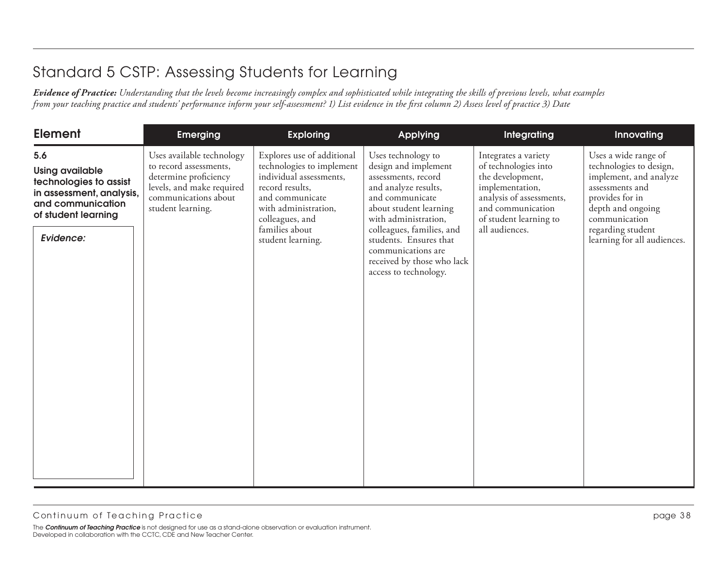| <b>Element</b>                                                                                                                               | <b>Emerging</b>                                                                                                                                        | <b>Exploring</b>                                                                                                                                                                                           | <b>Applying</b>                                                                                                                                                                                                                                                                                    | Integrating                                                                                                                                                                      | Innovating                                                                                                                                                                                                |
|----------------------------------------------------------------------------------------------------------------------------------------------|--------------------------------------------------------------------------------------------------------------------------------------------------------|------------------------------------------------------------------------------------------------------------------------------------------------------------------------------------------------------------|----------------------------------------------------------------------------------------------------------------------------------------------------------------------------------------------------------------------------------------------------------------------------------------------------|----------------------------------------------------------------------------------------------------------------------------------------------------------------------------------|-----------------------------------------------------------------------------------------------------------------------------------------------------------------------------------------------------------|
| 5.6<br><b>Using available</b><br>technologies to assist<br>in assessment, analysis,<br>and communication<br>of student learning<br>Evidence: | Uses available technology<br>to record assessments,<br>determine proficiency<br>levels, and make required<br>communications about<br>student learning. | Explores use of additional<br>technologies to implement<br>individual assessments,<br>record results,<br>and communicate<br>with administration,<br>colleagues, and<br>families about<br>student learning. | Uses technology to<br>design and implement<br>assessments, record<br>and analyze results,<br>and communicate<br>about student learning<br>with administration,<br>colleagues, families, and<br>students. Ensures that<br>communications are<br>received by those who lack<br>access to technology. | Integrates a variety<br>of technologies into<br>the development,<br>implementation,<br>analysis of assessments,<br>and communication<br>of student learning to<br>all audiences. | Uses a wide range of<br>technologies to design,<br>implement, and analyze<br>assessments and<br>provides for in<br>depth and ongoing<br>communication<br>regarding student<br>learning for all audiences. |